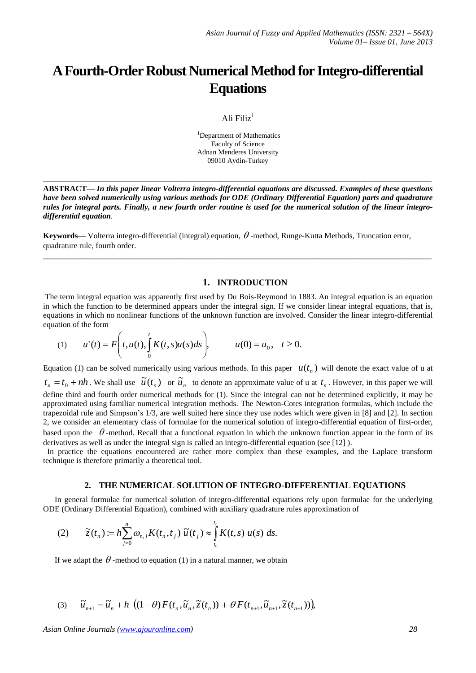# **A Fourth-Order Robust Numerical Method for Integro-differential Equations**

#### Ali Filiz $1$

<sup>1</sup>Department of Mathematics Faculty of Science Adnan Menderes University 09010 Aydin-Turkey

**ABSTRACT—** *In this paper linear Volterra integro-differential equations are discussed. Examples of these questions have been solved numerically using various methods for ODE (Ordinary Differential Equation) parts and quadrature rules for integral parts. Finally, a new fourth order routine is used for the numerical solution of the linear integrodifferential equation*.

**\_\_\_\_\_\_\_\_\_\_\_\_\_\_\_\_\_\_\_\_\_\_\_\_\_\_\_\_\_\_\_\_\_\_\_\_\_\_\_\_\_\_\_\_\_\_\_\_\_\_\_\_\_\_\_\_\_\_\_\_\_\_\_\_\_\_\_\_\_\_\_\_\_\_\_\_\_\_\_\_\_**

**\_\_\_\_\_\_\_\_\_\_\_\_\_\_\_\_\_\_\_\_\_\_\_\_\_\_\_\_\_\_\_\_\_\_\_\_\_\_\_\_\_\_\_\_\_\_\_\_\_\_\_\_\_\_\_\_\_\_\_\_\_\_\_\_\_\_\_\_\_\_\_\_\_\_\_\_\_\_\_\_\_**

**Keywords—** Volterra integro-differential (integral) equation,  $\theta$ -method, Runge-Kutta Methods, Truncation error, quadrature rule, fourth order.

## **1. INTRODUCTION**

The term integral equation was apparently first used by Du Bois-Reymond in 1883. An integral equation is an equation in which the function to be determined appears under the integral sign. If we consider linear integral equations, that is, equations in which no nonlinear functions of the unknown function are involved. Consider the linear integro-differential equation of the form

(1) 
$$
u'(t) = F\left(t, u(t), \int_{0}^{t} K(t, s)u(s)ds\right), \qquad u(0) = u_0, \quad t \ge 0.
$$

Equation (1) can be solved numerically using various methods. In this paper  $u(t_n)$  will denote the exact value of u at  $t_n = t_0 + nh$ . We shall use  $\tilde{u}(t_n)$  or  $\tilde{u}_n$  to denote an approximate value of u at  $t_n$ . However, in this paper we will define third and fourth order numerical methods for (1). Since the integral can not be determined explicitly, it may be approximated using familiar numerical integration methods. The Newton-Cotes integration formulas, which include the trapezoidal rule and Simpson's 1/3, are well suited here since they use nodes which were given in [8] and [2]. In section 2, we consider an elementary class of formulae for the numerical solution of integro-differential equation of first-order, based upon the  $\theta$ -method. Recall that a functional equation in which the unknown function appear in the form of its derivatives as well as under the integral sign is called an integro-differential equation (see [12] ).

 In practice the equations encountered are rather more complex than these examples, and the Laplace transform technique is therefore primarily a theoretical tool.

#### **2. THE NUMERICAL SOLUTION OF INTEGRO-DIFFERENTIAL EQUATIONS**

In general formulae for numerical solution of integro-differential equations rely upon formulae for the underlying ODE (Ordinary Differential Equation), combined with auxiliary quadrature rules approximation of

(2) 
$$
\widetilde{z}(t_n) := h \sum_{j=0}^n \omega_{n,j} K(t_n,t_j) \widetilde{u}(t_j) \approx \int_{t_0}^{t_n} K(t,s) u(s) ds.
$$

If we adapt the  $\theta$ -method to equation (1) in a natural manner, we obtain

(3) 
$$
\widetilde{u}_{n+1} = \widetilde{u}_n + h \left( (1-\theta) F(t_n, \widetilde{u}_n, \widetilde{z}(t_n)) + \theta F(t_{n+1}, \widetilde{u}_{n+1}, \widetilde{z}(t_{n+1})) \right),
$$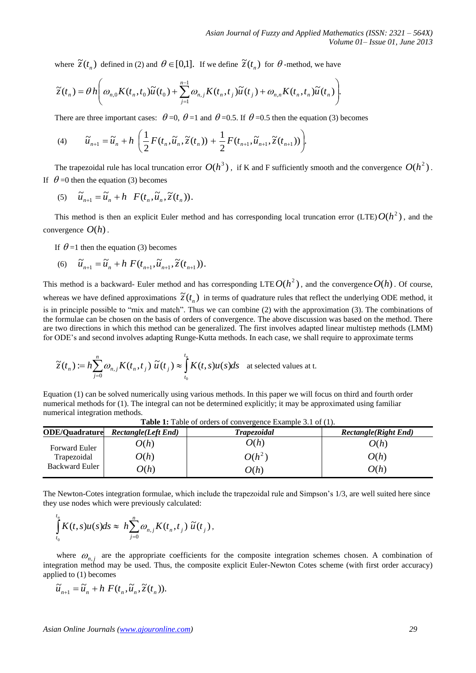where  $\tilde{z}(t_n)$  defined in (2) and  $\theta \in [0,1]$ . If we define  $\tilde{z}(t_n)$  for  $\theta$ -method, we have

$$
\widetilde{z}(t_n) = \theta h\left(\omega_{n,0}K(t_n,t_0)\widetilde{u}(t_0) + \sum_{j=1}^{n-1} \omega_{n,j}K(t_n,t_j)\widetilde{u}(t_j) + \omega_{n,n}K(t_n,t_n)\widetilde{u}(t_n)\right).
$$

There are three important cases:  $\theta = 0$ ,  $\theta = 1$  and  $\theta = 0.5$ . If  $\theta = 0.5$  then the equation (3) becomes

(4) 
$$
\widetilde{u}_{n+1} = \widetilde{u}_n + h\left(\frac{1}{2}F(t_n, \widetilde{u}_n, \widetilde{z}(t_n)) + \frac{1}{2}F(t_{n+1}, \widetilde{u}_{n+1}, \widetilde{z}(t_{n+1}))\right).
$$

The trapezoidal rule has local truncation error  $O(h^3)$ , if K and F sufficiently smooth and the convergence  $O(h^2)$ . If  $\theta = 0$  then the equation (3) becomes

$$
(5) \quad \widetilde{u}_{n+1} = \widetilde{u}_n + h \quad F(t_n, \widetilde{u}_n, \widetilde{z}(t_n)).
$$

This method is then an explicit Euler method and has corresponding local truncation error  $(LTE)O(h^2)$ , and the convergence *O*(*h*).

If  $\theta = 1$  then the equation (3) becomes

(6) 
$$
\widetilde{u}_{n+1} = \widetilde{u}_n + h F(t_{n+1}, \widetilde{u}_{n+1}, \widetilde{z}(t_{n+1})).
$$

This method is a backward- Euler method and has corresponding LTE  $O(h^2)$ , and the convergence  $O(h)$ . Of course, whereas we have defined approximations  $\tilde{z}(t_n)$  in terms of quadrature rules that reflect the underlying ODE method, it is in principle possible to "mix and match". Thus we can combine (2) with the approximation (3). The combinations of the formulae can be chosen on the basis of orders of convergence. The above discussion was based on the method. There are two directions in which this method can be generalized. The first involves adapted linear multistep methods (LMM) for ODE's and second involves adapting Runge-Kutta methods. In each case, we shall require to approximate terms

$$
\widetilde{z}(t_n) := h \sum_{j=0}^n \omega_{n,j} K(t_n, t_j) \widetilde{u}(t_j) \approx \int_{t_0}^{t_n} K(t, s) u(s) ds \text{ at selected values at t.}
$$

Equation (1) can be solved numerically using various methods. In this paper we will focus on third and fourth order numerical methods for (1). The integral can not be determined explicitly; it may be approximated using familiar numerical integration methods.

| <b>ODE/Quadrature</b> | <b>Rectangle</b> (Left End) | <b>Trapezoidal</b> | <b>Rectangle</b> (Right End) |
|-----------------------|-----------------------------|--------------------|------------------------------|
| <b>Forward Euler</b>  | O(h)                        | O(h)               | O(h)                         |
| Trapezoidal           | O(h)                        | $O(h^2)$           | O(h)                         |
| <b>Backward Euler</b> | O(h)                        | O(h)               | O(h)                         |

**Table 1:** Table of orders of convergence Example 3.1 of (1).

The Newton-Cotes integration formulae, which include the trapezoidal rule and Simpson's 1/3, are well suited here since they use nodes which were previously calculated:

$$
\int_{t_0}^{t_n} K(t,s)u(s)ds \approx h \sum_{j=0}^n \omega_{n,j} K(t_n,t_j) \widetilde{u}(t_j),
$$

where  $\omega_{n,j}$  are the appropriate coefficients for the composite integration schemes chosen. A combination of integration method may be used. Thus, the composite explicit Euler-Newton Cotes scheme (with first order accuracy) applied to (1) becomes

$$
\widetilde{u}_{n+1} = \widetilde{u}_n + h \ F(t_n, \widetilde{u}_n, \widetilde{z}(t_n)).
$$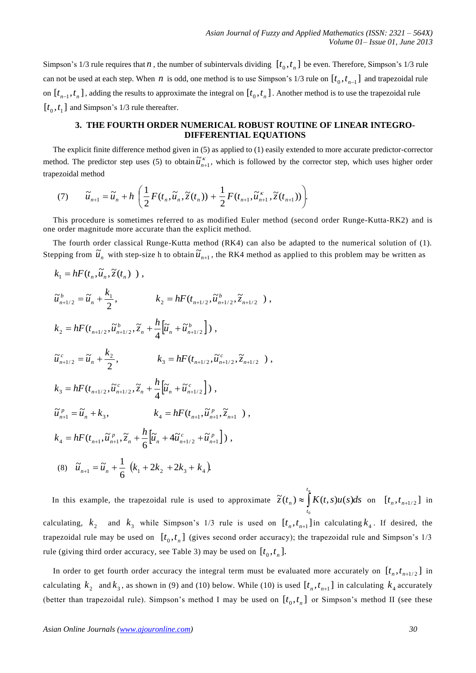Simpson's 1/3 rule requires that *n*, the number of subintervals dividing  $[t_0, t_n]$  be even. Therefore, Simpson's 1/3 rule can not be used at each step. When *n* is odd, one method is to use Simpson's 1/3 rule on  $[t_0, t_{n-1}]$  and trapezoidal rule on  $[t_{n-1}, t_n]$ , adding the results to approximate the integral on  $[t_0, t_n]$ . Another method is to use the trapezoidal rule  $[t_0, t_1]$  and Simpson's 1/3 rule thereafter.

# **3. THE FOURTH ORDER NUMERICAL ROBUST ROUTINE OF LINEAR INTEGRO-DIFFERENTIAL EQUATIONS**

The explicit finite difference method given in (5) as applied to (1) easily extended to more accurate predictor-corrector method. The predictor step uses (5) to obtain  $\tilde{u}_{n+1}^{\kappa}$ , which is followed by the corrector step, which uses higher order trapezoidal method

(7) 
$$
\widetilde{u}_{n+1} = \widetilde{u}_n + h\left(\frac{1}{2}F(t_n, \widetilde{u}_n, \widetilde{z}(t_n)) + \frac{1}{2}F(t_{n+1}, \widetilde{u}_{n+1}^{\kappa}, \widetilde{z}(t_{n+1}))\right).
$$

This procedure is sometimes referred to as modified Euler method (second order Runge-Kutta-RK2) and is one order magnitude more accurate than the explicit method.

The fourth order classical Runge-Kutta method (RK4) can also be adapted to the numerical solution of (1). Stepping from  $\tilde{u}_n$  with step-size h to obtain  $\tilde{u}_{n+1}$ , the RK4 method as applied to this problem may be written as

$$
k_{1} = hF(t_{n}, \tilde{u}_{n}, \tilde{z}(t_{n})) ,
$$
  
\n
$$
\tilde{u}_{n+1/2}^{b} = \tilde{u}_{n} + \frac{k_{1}}{2}, \qquad k_{2} = hF(t_{n+1/2}, \tilde{u}_{n+1/2}^{b}, \tilde{z}_{n+1/2}),
$$
  
\n
$$
k_{2} = hF(t_{n+1/2}, \tilde{u}_{n+1/2}^{b}, \tilde{z}_{n} + \frac{h}{4} [\tilde{u}_{n} + \tilde{u}_{n+1/2}^{b}]) ,
$$
  
\n
$$
\tilde{u}_{n+1/2}^{c} = \tilde{u}_{n} + \frac{k_{2}}{2}, \qquad k_{3} = hF(t_{n+1/2}, \tilde{u}_{n+1/2}^{c}, \tilde{z}_{n+1/2}),
$$
  
\n
$$
k_{3} = hF(t_{n+1/2}, \tilde{u}_{n+1/2}^{c}, \tilde{z}_{n} + \frac{h}{4} [\tilde{u}_{n} + \tilde{u}_{n+1/2}^{c}]) ,
$$
  
\n
$$
\tilde{u}_{n+1}^{p} = \tilde{u}_{n} + k_{3}, \qquad k_{4} = hF(t_{n+1}, \tilde{u}_{n+1}^{p}, \tilde{z}_{n+1}),
$$
  
\n
$$
k_{4} = hF(t_{n+1}, \tilde{u}_{n+1}^{p}, \tilde{z}_{n} + \frac{h}{6} [\tilde{u}_{n} + 4\tilde{u}_{n+1/2}^{c} + \tilde{u}_{n+1}^{p}] ),
$$
  
\n(8)  $\tilde{u}_{n+1} = \tilde{u}_{n} + \frac{1}{6} (k_{1} + 2k_{2} + 2k_{3} + k_{4}).$ 

In this example, the trapezoidal rule is used to approximate  $\tilde{z}(t_n) \approx \int_{0}^{t_n} K(t,s)u(s)ds$ *t*  $\widetilde{z}(t_n) \approx \int K(t,s)u(s)ds$  on  $[t_n, t_{n+1/2}]$  in  $\mathbf 0$ calculating,  $k_2$  and  $k_3$  while Simpson's 1/3 rule is used on  $[t_n, t_{n+1}]$  in calculating  $k_4$ . If desired, the trapezoidal rule may be used on  $[t_0, t_n]$  (gives second order accuracy); the trapezoidal rule and Simpson's  $1/3$ rule (giving third order accuracy, see Table 3) may be used on  $[t_0, t_n]$ .

In order to get fourth order accuracy the integral term must be evaluated more accurately on  $[t_n, t_{n+1/2}]$  in calculating  $k_2$  and  $k_3$ , as shown in (9) and (10) below. While (10) is used  $[t_n, t_{n+1}]$  in calculating  $k_4$  accurately (better than trapezoidal rule). Simpson's method I may be used on  $[t_0, t_n]$  or Simpson's method II (see these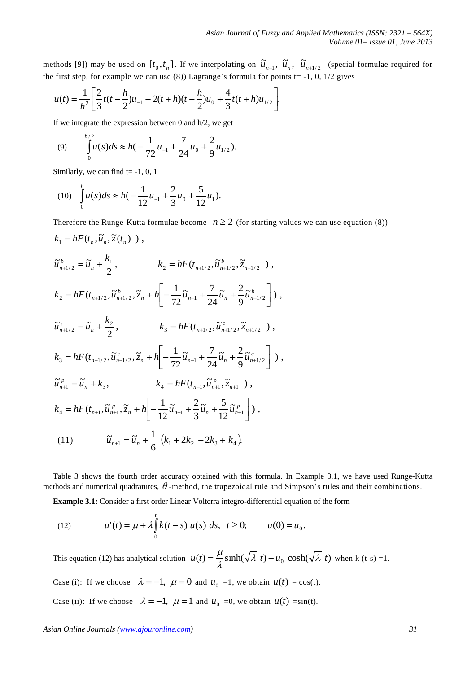methods [9]) may be used on  $[t_0, t_n]$ . If we interpolating on  $\tilde{u}_{n-1}$ ,  $\tilde{u}_n$ ,  $\tilde{u}_{n+1/2}$  (special formulae required for the first step, for example we can use (8)) Lagrange's formula for points  $t = -1$ , 0,  $1/2$  gives

$$
u(t) = \frac{1}{h^2} \left[ \frac{2}{3} t(t - \frac{h}{2}) u_{-1} - 2(t + h)(t - \frac{h}{2}) u_0 + \frac{4}{3} t(t + h) u_{1/2} \right].
$$

If we integrate the expression between 0 and h/2, we get

(9) 
$$
\int_{0}^{h/2} u(s)ds \approx h(-\frac{1}{72}u_{-1} + \frac{7}{24}u_{0} + \frac{2}{9}u_{1/2}).
$$

Similarly, we can find  $t = -1, 0, 1$ 

(10) 
$$
\int_0^h u(s)ds \approx h\left(-\frac{1}{12}u_{-1} + \frac{2}{3}u_0 + \frac{5}{12}u_1\right).
$$

Therefore the Runge-Kutta formulae become  $n \geq 2$  (for starting values we can use equation (8))  $k_1 = hF(t_n, \tilde{u}_n, \tilde{z}(t_n) )$ , , 2  $\widetilde{u}_{n+1/2}^b = \widetilde{u}_n^b + \frac{k_1}{2}$  $\widetilde{u}_{n+1/2}^b = \widetilde{u}_n + \frac{k}{c}$  $\widetilde{u}_{n+1/2}^b = \widetilde{u}_n + \frac{k_1}{2},$   $k_2 = hF(t_{n+1/2}, \widetilde{u}_{n+1/2}^b, \widetilde{z}_{n+1/2}^b)$ , *b*  $k_2 = hF(t_{n+1/2}, \tilde{u}_{n+1/2}^b, \tilde{z})$  $\tilde{u}_{n+1/2}^{\,b}\,\bigg|\, \big)$ , 9  $\tilde{u}$  +  $\frac{2}{3}$ 24  $\tilde{u}$  +  $\frac{7}{4}$ 72  $\overline{\mu}_2 = hF(t_{n+1/2}, \overline{\tilde{u}}_{n+1/2}, \overline{\tilde{z}}_n + h\left[-\frac{1}{72}\tilde{u}_{n-1} + \frac{7}{24}\tilde{u}_n + \frac{2}{9}\tilde{u}_{n+1/2}^b\right]$   $\overline{\mathsf{L}}$  $\hat{H} = hF(t_{n+1/2}, \tilde{u}_{n+1/2}^b, \tilde{z}_n + h\left| -\frac{1}{72}\tilde{u}_{n-1} + \frac{7}{24}\tilde{u}_n + \frac{2}{8}\tilde{u}_{n+1}^b \right|$  $n \tau n$   $\tau$   $\frac{1}{72} u_{n-1} + \frac{1}{24} u_n + \frac{1}{24} u_n$  $k_2 = hF(t_{n+1/2}, \tilde{u}_{n+1/2}^b, \tilde{z}_n + h\Big| - \frac{1}{72} \tilde{u}_{n-1} + \frac{1}{24} \tilde{u}_n + \frac{2}{9} \tilde{u}_n$ , 2  $\widetilde{u}_{n+1/2}^c = \widetilde{u}_n + \frac{k_2}{2}$  $\widetilde{u}_{n+1/2}^c = \widetilde{u}_n + \frac{k}{c}$  $\widetilde{u}_{n+1/2}^c = \widetilde{u}_n + \frac{k_2}{2},$   $k_3 = hF(t_{n+1/2}, \widetilde{u}_{n+1/2}^c, \widetilde{z}_{n+1/2}^c)$ , *c*  $k_3 = hF(t_{n+1/2}, \tilde{u}_{n+1/2}^c, \tilde{z})$  $\tilde{u}^{\,c}_{\scriptscriptstyle n+1/2}$ ), 9  $\tilde{u}$  +  $\frac{2}{3}$ 24  $\tilde{u}$  +  $\frac{7}{4}$ 72  $\overline{\tilde{u}}_3 = hF(t_{n+1/2}, \tilde{u}_{n+1/2}, \tilde{z}_n + h\left[-\frac{1}{72}\tilde{u}_{n-1} + \frac{7}{24}\tilde{u}_n + \frac{2}{9}\tilde{u}_{n+1/2}^c\right]$  L  $= hF(t_{n+1/2}, \tilde{u}_{n+1/2}^c, \tilde{z}_n + h\left| -\frac{1}{72}\tilde{u}_{n-1} + \frac{7}{24}\tilde{u}_n + \frac{2}{8}\tilde{u}_{n+1}^c \right|$  $n \tau n$   $-\frac{1}{72} u_{n-1} + \frac{1}{24} u_n + \frac{1}{6} u_n$  $k_3 = hF(t_{n+1/2}, \tilde{u}_{n+1/2}^c, \tilde{z}_n + h\Big| - \frac{1}{72} \tilde{u}_{n-1} + \frac{1}{24} \tilde{u}_n + \frac{2}{8} \tilde{u}_n$  $\widetilde{u}_{n+1}^p = \widetilde{u}_n^p + k_3^p,$  $\tilde{u}_{n+1}^p = \tilde{u}_n + k_3,$   $k_4 = hF(t_{n+1}, \tilde{u}_{n+1}^p, \tilde{z}_{n+1})$ , *p*  $k_4 = hF(t_{n+1}, \tilde{u}_{n+1}^p, \tilde{z})$  $\tilde{u}_{n+1}^{p}$  ), 12  $\tilde{u}$  +  $\frac{5}{5}$ 3  $\tilde{u}$   $+$   $\frac{2}{3}$ 12  $_{4} = hF(t_{n+1}, \tilde{u}_{n+1}^{p}, \tilde{z}_{n} + h\left[-\frac{1}{12}\tilde{u}_{n-1} + \frac{2}{3}\tilde{u}_{n} + \frac{5}{12}\tilde{u}_{n+1}^{p}\right]$  $\overline{\phantom{a}}$ L  $p = hF(t_{n+1}, \tilde{u}_{n+1}^p, \tilde{z}_n + h\left(-\frac{1}{12}\tilde{u}_{n+1} + \frac{2}{2}\tilde{u}_n + \frac{5}{12}\tilde{u}_{n+1}^p\right)$  $n \tau u$   $\tau$   $\tau$   $\alpha$ <sub>n-1</sub>  $\tau$   $\tau$   $\alpha$ <sub>n</sub>  $\tau$   $\tau$ <sub>10</sub> $u$ <sub>n</sub>  $k_4 = hF(t_{n+1}, \tilde{u}_{n+1}^p, \tilde{z}_n + h\left(-\frac{1}{12}\tilde{u}_{n-1} + \frac{2}{2}\tilde{u}_n + \frac{3}{12}\tilde{u}\right)$ (11)  $(k_1 + 2k_2 + 2k_3 + k_4)$ . 6  $\widetilde{u}_{n+1} = \widetilde{u}_n + \frac{1}{\epsilon} (k_1 + 2k_2 + 2k_3 + k_4)$ 

Table 3 shows the fourth order accuracy obtained with this formula. In Example 3.1, we have used Runge-Kutta methods and numerical quadratures,  $\theta$ -method, the trapezoidal rule and Simpson's rules and their combinations.

**Example 3.1:** Consider a first order Linear Volterra integro-differential equation of the form

(12) 
$$
u'(t) = \mu + \lambda \int_0^t k(t-s) \ u(s) \ ds, \ t \ge 0; \qquad u(0) = u_0.
$$

This equation (12) has analytical solution  $u(t) = \frac{\mu}{\lambda} \sinh(\sqrt{\lambda} t) + u_0 \cosh(\sqrt{\lambda} t)$  $=\frac{\mu}{s} \sinh(\sqrt{\lambda} t) + u_0 \cosh(\sqrt{\lambda} t)$  when k (t-s) =1.

Case (i): If we choose  $\lambda = -1$ ,  $\mu = 0$  and  $u_0 = 1$ , we obtain  $u(t) = \cos(t)$ .

Case (ii): If we choose  $\lambda = -1$ ,  $\mu = 1$  and  $u_0 = 0$ , we obtain  $u(t) = \sin(t)$ .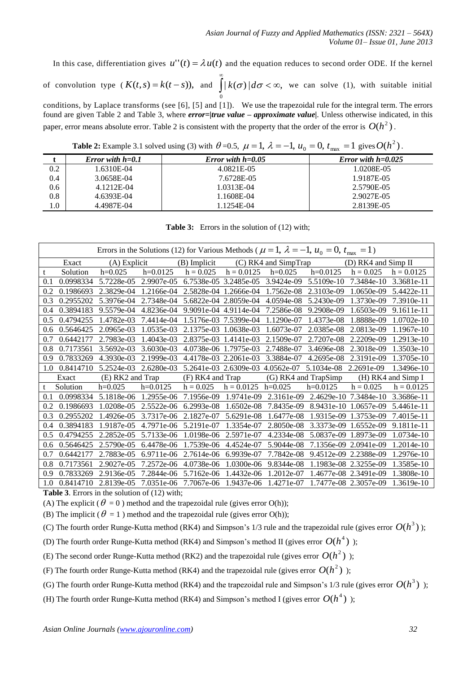In this case, differentiation gives  $u''(t) = \lambda u(t)$  and the equation reduces to second order ODE. If the kernel of convolution type  $(K(t,s) = k(t-s))$ , and  $\int |k(\sigma)| d\sigma < \infty$ , 0  $\infty$  $k(\sigma) | d\sigma < \infty$ , we can solve (1), with suitable initial conditions, by Laplace transforms (see [6], [5] and [1]). We use the trapezoidal rule for the integral term. The errors found are given Table 2 and Table 3, where *error=|true value – approximate value|*. Unless otherwise indicated, in this paper, error means absolute error. Table 2 is consistent with the property that the order of the error is  $O(h^2)$ .

**Table 2:** Example 3.1 solved using (3) with  $\theta =0.5$ ,  $\mu = 1$ ,  $\lambda = -1$ ,  $u_0 = 0$ ,  $t_{\text{max}} = 1$  gives  $O(h^2)$ .

|                  | Error with $h=0.1$ | Error with $h = 0.05$ | Error with $h=0.025$ |
|------------------|--------------------|-----------------------|----------------------|
| $\overline{0.2}$ | .6310E-04          | 4.0821E-05            | 1.0208E-05           |
| 0.4              | 3.0658E-04         | 7.6728E-05            | 1.9187E-05           |
| 0.6              | 4.1212E-04         | 1.0313E-04            | 2.5790E-05           |
| 0.8              | 4.6393E-04         | 1.1608E-04            | 2.9027E-05           |
| 1.0              | 4.4987E-04         | 1.1254E-04            | 2.8139E-05           |

**Table 3:** Errors in the solution of (12) with;

| Errors in the Solutions (12) for Various Methods ( $\mu = 1$ , $\lambda = -1$ , $u_0 = 0$ , $t_{\text{max}} = 1$ ) |           |                |                  |              |                       |                      |            |                       |              |
|--------------------------------------------------------------------------------------------------------------------|-----------|----------------|------------------|--------------|-----------------------|----------------------|------------|-----------------------|--------------|
|                                                                                                                    | Exact     | $(A)$ Explicit |                  | (B) Implicit |                       | (C) RK4 and SimpTrap |            | (D) RK4 and Simp II   |              |
| t                                                                                                                  | Solution  | $h=0.025$      | $h=0.0125$       | $h = 0.025$  | $h = 0.0125$          | $h=0.025$            | $h=0.0125$ | $h = 0.025$           | $h = 0.0125$ |
| 0.1                                                                                                                | 0.0998334 | 5.7228e-05     | 2.9907e-05       |              | 6.7538e-05 3.2485e-05 | 3.9424e-09           | 5.5109e-10 | 7.3484e-10            | 3.3681e-11   |
| 0.2                                                                                                                | 0.1986693 | 2.3829e-04     | 1.2166e-04       | 2.5828e-04   | 1.2666e-04            | 1.7562e-08           | 2.3103e-09 | 1.0650e-09            | 5.4422e-11   |
| 0.3                                                                                                                | 0.2955202 | 5.3976e-04     | 2.7348e-04       |              | 5.6822e-04 2.8059e-04 | 4.0594e-08           | 5.2430e-09 | 1.3730e-09            | 7.3910e-11   |
| 0.4                                                                                                                | 0.3894183 | 9.5579e-04     | 4.8236e-04       | $9.9091e-04$ | 4.9114e-04            | 7.2586e-08           | 9.2908e-09 | 1.6503e-09            | 9.1611e-11   |
| 0.5                                                                                                                | 0.4794255 | 1.4782e-03     | 7.4414e-04       |              | 1.5176e-03 7.5399e-04 | 1.1290e-07           | 1.4373e-08 | 1.8888e-09            | $1.0702e-10$ |
| 0.6                                                                                                                | 0.5646425 | 2.0965e-03     | 1.0535e-03       | 2.1375e-03   | 1.0638e-03            | 1.6073e-07           | 2.0385e-08 | 2.0813e-09            | 1.1967e-10   |
| 0.7                                                                                                                | 0.6442177 | 2.7983e-03     | 1.4043e-03       | 2.8375e-03   | 1.4141e-03            | 2.1509e-07           | 2.7207e-08 | 2.2209e-09            | 1.2913e-10   |
| 0.8                                                                                                                | 0.7173561 | 3.5692e-03     | 3.6030e-03       |              | 4.0738e-06 1.7975e-03 | 2.7488e-07           | 3.4696e-08 | 2.3018e-09            | 1.3503e-10   |
| 0.9                                                                                                                | 0.7833269 | 4.3930e-03     | 2.1999e-03       |              | 4.4178e-03 2.2061e-03 | 3.3884e-07           | 4.2695e-08 | 2.3191e-09            | 1.3705e-10   |
| 1.0                                                                                                                | 0.8414710 | 5.2524e-03     | 2.6280e-03       |              | 5.2641e-03 2.6309e-03 | 4.0562e-07           | 5.1034e-08 | 2.2691e-09            | 1.3496e-10   |
| (E) RK2 and Trap<br>Exact                                                                                          |           |                | (F) RK4 and Trap |              | (G) RK4 and TrapSimp  |                      |            | (H) RK4 and Simp I    |              |
| t                                                                                                                  | Solution  | $h=0.025$      | $h=0.0125$       | $h = 0.025$  | $h = 0.0125$          | $h=0.025$            | $h=0.0125$ | $h = 0.025$           | $h = 0.0125$ |
| 0.1                                                                                                                | 0.0998334 | 5.1818e-06     | 1.2955e-06       | 7.1956e-09   | 1.9741e-09            | 2.3161e-09           | 2.4629e-10 | 7.3484e-10            | 3.3686e-11   |
| 0.2                                                                                                                | 0.1986693 | 1.0208e-05     | 2.5522e-06       | 6.2993e-08   | 1.6502e-08            | 7.8435e-09           | 8.9431e-10 | 1.0657e-09            | 5.4461e-11   |
| 0.3                                                                                                                | 0.2955202 | 1.4926e-05     | 3.7317e-06       | 2.1827e-07   | 5.6291e-08            | 1.6477e-08           | 1.9315e-09 | 1.3753e-09            | 7.4015e-11   |
| 0.4                                                                                                                | 0.3894183 | 1.9187e-05     | 4.7971e-06       | 5.2191e-07   | 1.3354e-07            | 2.8050e-08           | 3.3373e-09 | 1.6552e-09            | 9.1811e-11   |
| 0.5                                                                                                                | 0.4794255 | 2.2852e-05     | 5.7133e-06       | 1.0198e-06   | 2.5971e-07            | 4.2334e-08           | 5.0837e-09 | 1.8973e-09            | 1.0734e-10   |
| 0.6                                                                                                                | 0.5646425 | 2.5790e-05     | 6.4478e-06       | 1.7539e-06   | 4.4524e-07            | 5.9044e-08           | 7.1356e-09 | 2.0941e-09            | 1.2014e-10   |
| 0.7                                                                                                                | 0.6442177 | 2.7883e-05     | 6.9711e-06       | 2.7614e-06   | 6.9939e-07            | 7.7842e-08           | 9.4512e-09 | 2.2388e-09            | 1.2976e-10   |
| 0.8                                                                                                                | 0.7173561 | 2.9027e-05     | 7.2572e-06       | 4.0738e-06   | 1.0300e-06            | 9.8344e-08           |            | 1.1983e-08 2.3255e-09 | 1.3585e-10   |
| 0.9                                                                                                                | 0.7833269 | 2.9136e-05     | 7.2844e-06       | 5.7162e-06   | 1.4432e-06            | 1.2012e-07           |            | 1.4677e-08 2.3491e-09 | 1.3808e-10   |
| 1.0                                                                                                                | 0.8414710 | 2.8139e-05     | 7.0351e-06       | 7.7067e-06   | 1.9437e-06            | 1.4271e-07           |            | 1.7477e-08 2.3057e-09 | 1.3619e-10   |

**Table 3**. Errors in the solution of (12) with;

(A) The explicit ( $\theta = 0$ ) method and the trapezoidal rule (gives error O(h));

(B) The implicit ( $\theta = 1$ ) method and the trapezoidal rule (gives error O(h));

(C) The fourth order Runge-Kutta method (RK4) and Simpson's 1/3 rule and the trapezoidal rule (gives error  $O(h^3)$ );

(D) The fourth order Runge-Kutta method (RK4) and Simpson's method II (gives error  $O(h^4)$ );

(E) The second order Runge-Kutta method (RK2) and the trapezoidal rule (gives error  $O(h^2)$ );

(F) The fourth order Runge-Kutta method (RK4) and the trapezoidal rule (gives error  $O(h^2)$ );

(G) The fourth order Runge-Kutta method (RK4) and the trapezoidal rule and Simpson's 1/3 rule (gives error  $O(h^3)$ );

(H) The fourth order Runge-Kutta method (RK4) and Simpson's method I (gives error  $O(h^4)$ );